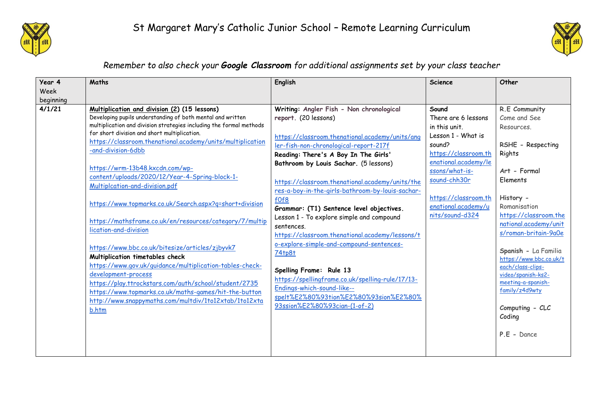



## *Remember to also check your Google Classroom for additional assignments set by your class teacher*

| Year 4    | Maths                                                                                                      | English                                          | <b>Science</b>       | Other                                           |
|-----------|------------------------------------------------------------------------------------------------------------|--------------------------------------------------|----------------------|-------------------------------------------------|
| Week      |                                                                                                            |                                                  |                      |                                                 |
| beginning |                                                                                                            |                                                  |                      |                                                 |
| 4/1/21    | Multiplication and division (2) (15 lessons)                                                               | Writing: Angler Fish - Non chronological         | Sound                | R.E Community                                   |
|           | Developing pupils understanding of both mental and written                                                 | report. (20 lessons)                             | There are 6 lessons  | Come and See                                    |
|           | multiplication and division strategies including the formal methods                                        |                                                  | in this unit.        | Resources.                                      |
|           | for short division and short multiplication.<br>https://classroom.thenational.academy/units/multiplication | https://classroom.thenational.academy/units/ang  | Lesson 1 - What is   |                                                 |
|           | -and-division-6dbb                                                                                         | ler-fish-non-chronological-report-217f           | sound?               | RSHE - Respecting                               |
|           |                                                                                                            | Reading: There's A Boy In The Girls'             | https://classroom.th | Rights                                          |
|           | https://wrm-13b48.kxcdn.com/wp-                                                                            | Bathroom by Louis Sachar. (5 lessons)            | enational.academy/le |                                                 |
|           | content/uploads/2020/12/Year-4-Spring-block-1-                                                             |                                                  | ssons/what-is-       | Art - Formal                                    |
|           | Multiplcation-and-division.pdf                                                                             | https://classroom.thenational.academy/units/the  | sound-chh30r         | Elements                                        |
|           |                                                                                                            | res-a-boy-in-the-girls-bathroom-by-louis-sachar- |                      |                                                 |
|           | https://www.topmarks.co.uk/Search.aspx?q=short+division                                                    | f0f8                                             | https://classroom.th | History -                                       |
|           |                                                                                                            | Grammar: (T1) Sentence level objectives.         | enational.academy/u  | Romanisation                                    |
|           | https://mathsframe.co.uk/en/resources/category/7/multip                                                    | Lesson 1 - To explore simple and compound        | nits/sound-d324      | https://classroom.the                           |
|           | lication-and-division                                                                                      | sentences.                                       |                      | national.academy/unit                           |
|           |                                                                                                            | https://classroom.thenational.academy/lessons/t  |                      | s/roman-britain-9a0e                            |
|           | https://www.bbc.co.uk/bitesize/articles/zjbyvk7                                                            | o-explore-simple-and-compound-sentences-         |                      |                                                 |
|           | Multiplication timetables check                                                                            | 74tp8t                                           |                      | Spanish - La Familia<br>https://www.bbc.co.uk/t |
|           | https://www.gov.uk/guidance/multiplication-tables-check-                                                   |                                                  |                      | each/class-clips-                               |
|           | development-process                                                                                        | Spelling Frame: Rule 13                          |                      | video/spanish-ks2-                              |
|           | https://play.ttrockstars.com/auth/school/student/2735                                                      | https://spellingframe.co.uk/spelling-rule/17/13- |                      | meeting-a-spanish-                              |
|           | https://www.topmarks.co.uk/maths-games/hit-the-button                                                      | Endings-which-sound-like--                       |                      | family/z4d9wty                                  |
|           | http://www.snappymaths.com/multdiv/1to12xtab/1to12xta                                                      | spelt%E2%80%93tion%E2%80%93sion%E2%80%           |                      |                                                 |
|           | b.htm                                                                                                      | 93ssion%E2%80%93cian-(1-of-2)                    |                      | Computing - CLC                                 |
|           |                                                                                                            |                                                  |                      | Coding                                          |
|           |                                                                                                            |                                                  |                      |                                                 |
|           |                                                                                                            |                                                  |                      | $P.E - Dance$                                   |
|           |                                                                                                            |                                                  |                      |                                                 |
|           |                                                                                                            |                                                  |                      |                                                 |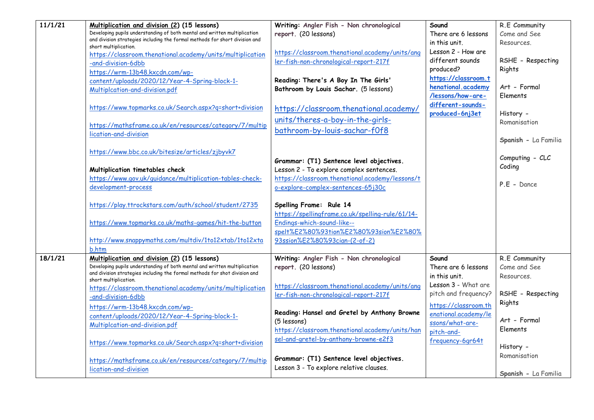| 11/1/21 | Multiplication and division (2) (15 lessons)                                                         | Writing: Angler Fish - Non chronological                                       | Sound                | R.E Community        |
|---------|------------------------------------------------------------------------------------------------------|--------------------------------------------------------------------------------|----------------------|----------------------|
|         | Developing pupils understanding of both mental and written multiplication                            | report. (20 lessons)                                                           | There are 6 lessons  | Come and See         |
|         | and division strategies including the formal methods for short division and<br>short multiplication. |                                                                                | in this unit.        | Resources.           |
|         | https://classroom.thenational.academy/units/multiplication                                           | https://classroom.thenational.academy/units/ang                                | Lesson 2 - How are   |                      |
|         | -and-division-6dbb                                                                                   | ler-fish-non-chronological-report-217f                                         | different sounds     | RSHE - Respecting    |
|         | https://wrm-13b48.kxcdn.com/wp-                                                                      |                                                                                | produced?            | Rights               |
|         | content/uploads/2020/12/Year-4-Spring-block-1-                                                       | Reading: There's A Boy In The Girls'                                           | https://classroom.t  |                      |
|         | Multiplcation-and-division.pdf                                                                       | Bathroom by Louis Sachar. (5 lessons)                                          | henational.academy   | Art - Formal         |
|         |                                                                                                      |                                                                                | /lessons/how-are-    | Elements             |
|         | https://www.topmarks.co.uk/Search.aspx?q=short+division                                              | https://classroom.thenational.academy/                                         | different-sounds-    |                      |
|         |                                                                                                      | units/theres-a-boy-in-the-girls-                                               | produced-6nj3et      | History -            |
|         | https://mathsframe.co.uk/en/resources/category/7/multip                                              |                                                                                |                      | Romanisation         |
|         | lication-and-division                                                                                | bathroom-by-louis-sachar-f0f8                                                  |                      |                      |
|         |                                                                                                      |                                                                                |                      | Spanish - La Familia |
|         | https://www.bbc.co.uk/bitesize/articles/zjbyvk7                                                      |                                                                                |                      |                      |
|         |                                                                                                      | Grammar: (T1) Sentence level objectives.                                       |                      | Computing - CLC      |
|         | Multiplication timetables check                                                                      | Lesson 2 - To explore complex sentences.                                       |                      | Coding               |
|         | https://www.gov.uk/guidance/multiplication-tables-check-                                             | https://classroom.thenational.academy/lessons/t                                |                      | $P.E - Dance$        |
|         | development-process                                                                                  | o-explore-complex-sentences-65j30c                                             |                      |                      |
|         |                                                                                                      |                                                                                |                      |                      |
|         | https://play.ttrockstars.com/auth/school/student/2735                                                | Spelling Frame: Rule 14                                                        |                      |                      |
|         |                                                                                                      | https://spellingframe.co.uk/spelling-rule/61/14-<br>Endings-which-sound-like-- |                      |                      |
|         | https://www.topmarks.co.uk/maths-games/hit-the-button                                                |                                                                                |                      |                      |
|         | http://www.snappymaths.com/multdiv/1to12xtab/1to12xta                                                | spelt%E2%80%93tion%E2%80%93sion%E2%80%<br>93ssion%E2%80%93cian-(2-of-2)        |                      |                      |
|         | b.htm                                                                                                |                                                                                |                      |                      |
| 18/1/21 | Multiplication and division (2) (15 lessons)                                                         | Writing: Angler Fish - Non chronological                                       | Sound                | R.E Community        |
|         | Developing pupils understanding of both mental and written multiplication                            | report. (20 lessons)                                                           | There are 6 lessons  | Come and See         |
|         | and division strategies including the formal methods for shot division and                           |                                                                                | in this unit.        | Resources.           |
|         | short multiplication.                                                                                | https://classroom.thenational.academy/units/ang                                | Lesson 3 - What are  |                      |
|         | https://classroom.thenational.academy/units/multiplication                                           | ler-fish-non-chronological-report-217f                                         | pitch and frequency? | RSHE - Respecting    |
|         | -and-division-6dbb                                                                                   |                                                                                | https://classroom.th | Rights               |
|         | https://wrm-13b48.kxcdn.com/wp-                                                                      | Reading: Hansel and Gretel by Anthony Browne                                   | enational.academy/le |                      |
|         | content/uploads/2020/12/Year-4-Spring-block-1-                                                       | (5 lessons)                                                                    | ssons/what-are-      | Art - Formal         |
|         | Multiplcation-and-division.pdf                                                                       | https://classroom.thenational.academy/units/han                                | pitch-and-           | Elements             |
|         | https://www.topmarks.co.uk/Search.aspx?q=short+division                                              | sel-and-gretel-by-anthony-browne-e2f3                                          | frequency-6gr64t     |                      |
|         |                                                                                                      |                                                                                |                      | History -            |
|         | https://mathsframe.co.uk/en/resources/category/7/multip                                              | Grammar: (T1) Sentence level objectives.                                       |                      | Romanisation         |
|         | lication-and-division                                                                                | Lesson 3 - To explore relative clauses.                                        |                      |                      |
|         |                                                                                                      |                                                                                |                      | Spanish - La Familia |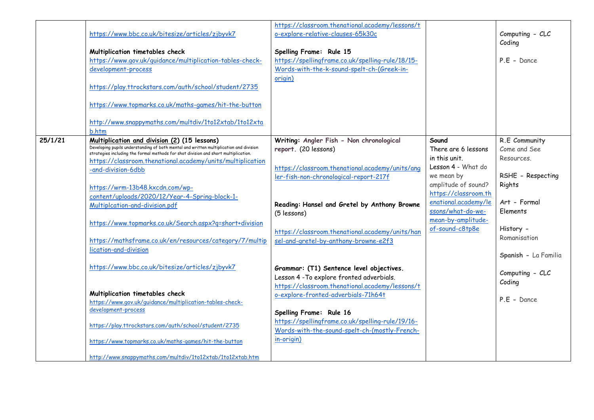|         | https://www.bbc.co.uk/bitesize/articles/zjbyvk7<br>Multiplication timetables check<br>https://www.gov.uk/guidance/multiplication-tables-check-<br>development-process<br>https://play.ttrockstars.com/auth/school/student/2735<br>https://www.topmarks.co.uk/maths-games/hit-the-button<br>http://www.snappymaths.com/multdiv/1to12xtab/1to12xta<br>b.htm                                                                                                                                                                                                                                                                                  | https://classroom.thenational.academy/lessons/t<br>o-explore-relative-clauses-65k30c<br>Spelling Frame: Rule 15<br>https://spellingframe.co.uk/spelling-rule/18/15-<br>Words-with-the-k-sound-spelt-ch-(Greek-in-<br>origin)                                                                                                                                         |                                                                                                                                                                                                                        | Computing - CLC<br>Coding<br>$P.E - Dance$                                                                                                                  |
|---------|--------------------------------------------------------------------------------------------------------------------------------------------------------------------------------------------------------------------------------------------------------------------------------------------------------------------------------------------------------------------------------------------------------------------------------------------------------------------------------------------------------------------------------------------------------------------------------------------------------------------------------------------|----------------------------------------------------------------------------------------------------------------------------------------------------------------------------------------------------------------------------------------------------------------------------------------------------------------------------------------------------------------------|------------------------------------------------------------------------------------------------------------------------------------------------------------------------------------------------------------------------|-------------------------------------------------------------------------------------------------------------------------------------------------------------|
| 25/1/21 | Multiplication and division (2) (15 lessons)<br>Developing pupils understanding of both mental and written multiplication and division<br>strategies including the formal methods for shot division and short multiplication.<br>https://classroom.thenational.academy/units/multiplication<br>-and-division-6dbb<br>https://wrm-13b48.kxcdn.com/wp-<br>content/uploads/2020/12/Year-4-Spring-block-1-<br>Multiplcation-and-division.pdf<br>https://www.topmarks.co.uk/Search.aspx?q=short+division<br>https://mathsframe.co.uk/en/resources/category/7/multip<br>lication-and-division<br>https://www.bbc.co.uk/bitesize/articles/zjbyvk7 | Writing: Angler Fish - Non chronological<br>report. (20 lessons)<br>https://classroom.thenational.academy/units/ang<br>ler-fish-non-chronological-report-217f<br>Reading: Hansel and Gretel by Anthony Browne<br>(5 lessons)<br>https://classroom.thenational.academy/units/han<br>sel-and-gretel-by-anthony-browne-e2f3<br>Grammar: (T1) Sentence level objectives. | Sound<br>There are 6 lessons<br>in this unit.<br>Lesson 4 - What do<br>we mean by<br>amplitude of sound?<br>https://classroom.th<br>enational.academy/le<br>ssons/what-do-we-<br>mean-by-amplitude-<br>of-sound-c8tp8e | R.E Community<br>Come and See<br>Resources.<br>RSHE - Respecting<br>Rights<br>Art - Formal<br>Elements<br>History -<br>Romanisation<br>Spanish - La Familia |
|         | Multiplication timetables check<br>https://www.gov.uk/guidance/multiplication-tables-check-<br>development-process<br>https://play.ttrockstars.com/auth/school/student/2735<br>https://www.topmarks.co.uk/maths-games/hit-the-button<br>http://www.snappymaths.com/multdiv/1to12xtab/1to12xtab.htm                                                                                                                                                                                                                                                                                                                                         | Lesson 4 - To explore fronted adverbials.<br>https://classroom.thenational.academy/lessons/t<br>o-explore-fronted-adverbials-71h64t<br>Spelling Frame: Rule 16<br>https://spellingframe.co.uk/spelling-rule/19/16-<br>Words-with-the-sound-spelt-ch-(mostly-French-<br>in-origin)                                                                                    |                                                                                                                                                                                                                        | Computing - CLC<br>Coding<br>$P.E - Dance$                                                                                                                  |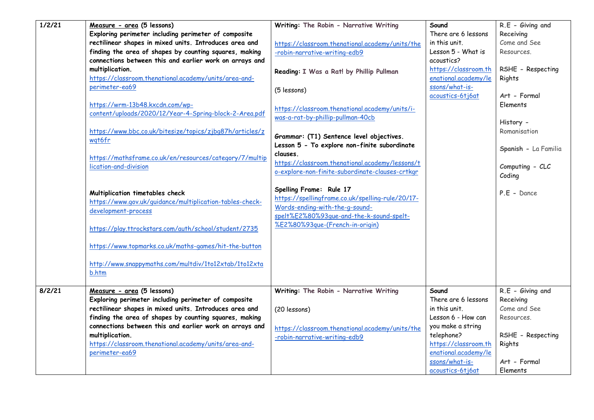| 1/2/21 | Measure - area (5 lessons)                                                      | Writing: The Robin - Narrative Writing           | Sound                | R.E - Giving and     |
|--------|---------------------------------------------------------------------------------|--------------------------------------------------|----------------------|----------------------|
|        | Exploring perimeter including perimeter of composite                            |                                                  | There are 6 lessons  | Receiving            |
|        | rectilinear shapes in mixed units. Introduces area and                          | https://classroom.thenational.academy/units/the  | in this unit.        | Come and See         |
|        | finding the area of shapes by counting squares, making                          | -robin-narrative-writing-edb9                    | Lesson 5 - What is   | Resources.           |
|        | connections between this and earlier work on arrays and                         |                                                  | acoustics?           |                      |
|        | multiplication.                                                                 | Reading: I Was a Rat! by Phillip Pullman         | https://classroom.th | RSHE - Respecting    |
|        | https://classroom.thenational.academy/units/area-and-                           |                                                  | enational.academy/le | Rights               |
|        | perimeter-ea69                                                                  | (5 lessons)                                      | ssons/what-is-       |                      |
|        |                                                                                 |                                                  | acoustics-6tj6at     | Art - Formal         |
|        | https://wrm-13b48.kxcdn.com/wp-                                                 | https://classroom.thenational.academy/units/i-   |                      | Elements             |
|        | content/uploads/2020/12/Year-4-Spring-block-2-Area.pdf                          | was-a-rat-by-phillip-pullman-40cb                |                      |                      |
|        |                                                                                 |                                                  |                      | History -            |
|        | https://www.bbc.co.uk/bitesize/topics/zjbq87h/articles/z                        | Grammar: (T1) Sentence level objectives.         |                      | Romanisation         |
|        | wqt6fr                                                                          | Lesson 5 - To explore non-finite subordinate     |                      |                      |
|        |                                                                                 | clauses.                                         |                      | Spanish - La Familia |
|        | https://mathsframe.co.uk/en/resources/category/7/multip                         | https://classroom.thenational.academy/lessons/t  |                      |                      |
|        | lication-and-division                                                           | o-explore-non-finite-subordinate-clauses-crtkgr  |                      | Computing - CLC      |
|        |                                                                                 |                                                  |                      | Coding               |
|        |                                                                                 | Spelling Frame: Rule 17                          |                      |                      |
|        | Multiplication timetables check                                                 | https://spellingframe.co.uk/spelling-rule/20/17- |                      | P.E - Dance          |
|        | https://www.gov.uk/guidance/multiplication-tables-check-<br>development-process | Words-ending-with-the-g-sound-                   |                      |                      |
|        |                                                                                 | spelt%E2%80%93que-and-the-k-sound-spelt-         |                      |                      |
|        | https://play.ttrockstars.com/auth/school/student/2735                           | %E2%80%93que-(French-in-origin)                  |                      |                      |
|        |                                                                                 |                                                  |                      |                      |
|        | https://www.topmarks.co.uk/maths-games/hit-the-button                           |                                                  |                      |                      |
|        |                                                                                 |                                                  |                      |                      |
|        | http://www.snappymaths.com/multdiv/1to12xtab/1to12xta                           |                                                  |                      |                      |
|        | b.htm                                                                           |                                                  |                      |                      |
|        |                                                                                 |                                                  |                      |                      |
| 8/2/21 | Measure - area (5 lessons)                                                      | Writing: The Robin - Narrative Writing           | Sound                | R.E - Giving and     |
|        | Exploring perimeter including perimeter of composite                            |                                                  | There are 6 lessons  | Receiving            |
|        | rectilinear shapes in mixed units. Introduces area and                          | (20 lessons)                                     | in this unit.        | Come and See         |
|        | finding the area of shapes by counting squares, making                          |                                                  | Lesson 6 - How can   | Resources.           |
|        | connections between this and earlier work on arrays and                         | https://classroom.thenational.academy/units/the  | you make a string    |                      |
|        | multiplication.                                                                 | -robin-narrative-writing-edb9                    | telephone?           | RSHE - Respecting    |
|        | https://classroom.thenational.academy/units/area-and-                           |                                                  | https://classroom.th | Rights               |
|        | perimeter-ea69                                                                  |                                                  | enational.academy/le |                      |
|        |                                                                                 |                                                  | ssons/what-is-       | Art - Formal         |
|        |                                                                                 |                                                  | acoustics-6ti6at     | Elements             |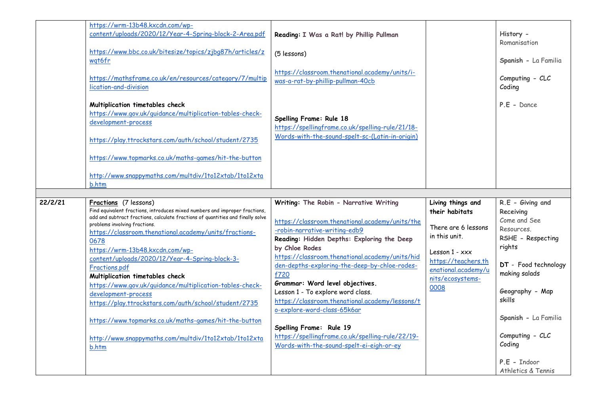|         | https://wrm-13b48.kxcdn.com/wp-<br>content/uploads/2020/12/Year-4-Spring-block-2-Area.pdf<br>https://www.bbc.co.uk/bitesize/topics/zjbq87h/articles/z<br>wqt6fr<br>https://mathsframe.co.uk/en/resources/category/7/multip<br>lication-and-division<br>Multiplication timetables check                                                                                                                                                                                                                                                                                                                                                                                                                     | Reading: I Was a Rat! by Phillip Pullman<br>(5 lessons)<br>https://classroom.thenational.academy/units/i-<br>was-a-rat-by-phillip-pullman-40cb                                                                                                                                                                                                                                                                                                                                                                                                                                              |                                                                                                                                                                         | History -<br>Romanisation<br>Spanish - La Familia<br>Computing - CLC<br>Coding<br>$P.E - Dance$                                                                                                                                                               |
|---------|------------------------------------------------------------------------------------------------------------------------------------------------------------------------------------------------------------------------------------------------------------------------------------------------------------------------------------------------------------------------------------------------------------------------------------------------------------------------------------------------------------------------------------------------------------------------------------------------------------------------------------------------------------------------------------------------------------|---------------------------------------------------------------------------------------------------------------------------------------------------------------------------------------------------------------------------------------------------------------------------------------------------------------------------------------------------------------------------------------------------------------------------------------------------------------------------------------------------------------------------------------------------------------------------------------------|-------------------------------------------------------------------------------------------------------------------------------------------------------------------------|---------------------------------------------------------------------------------------------------------------------------------------------------------------------------------------------------------------------------------------------------------------|
|         | https://www.gov.uk/guidance/multiplication-tables-check-<br>development-process<br>https://play.ttrockstars.com/auth/school/student/2735<br>https://www.topmarks.co.uk/maths-games/hit-the-button<br>http://www.snappymaths.com/multdiv/1to12xtab/1to12xta<br>b.htm                                                                                                                                                                                                                                                                                                                                                                                                                                        | Spelling Frame: Rule 18<br>https://spellingframe.co.uk/spelling-rule/21/18-<br>Words-with-the-sound-spelt-sc-(Latin-in-origin)                                                                                                                                                                                                                                                                                                                                                                                                                                                              |                                                                                                                                                                         |                                                                                                                                                                                                                                                               |
|         |                                                                                                                                                                                                                                                                                                                                                                                                                                                                                                                                                                                                                                                                                                            |                                                                                                                                                                                                                                                                                                                                                                                                                                                                                                                                                                                             |                                                                                                                                                                         |                                                                                                                                                                                                                                                               |
| 22/2/21 | Fractions (7 lessons)<br>Find equivalent fractions, introduces mixed numbers and improper fractions,<br>add and subtract fractions, calculate fractions of quantities and finally solve<br>problems involving fractions.<br>https://classroom.thenational.academy/units/fractions-<br>0678<br>https://wrm-13b48.kxcdn.com/wp-<br>content/uploads/2020/12/Year-4-Spring-block-3-<br>Fractions.pdf<br>Multiplication timetables check<br>https://www.gov.uk/guidance/multiplication-tables-check-<br>development-process<br>https://play.ttrockstars.com/auth/school/student/2735<br>https://www.topmarks.co.uk/maths-games/hit-the-button<br>http://www.snappymaths.com/multdiv/1to12xtab/1to12xta<br>b.htm | Writing: The Robin - Narrative Writing<br>https://classroom.thenational.academy/units/the<br>-robin-narrative-writing-edb9<br>Reading: Hidden Depths: Exploring the Deep<br>by Chloe Rodes<br>https://classroom.thenational.academy/units/hid<br>den-depths-exploring-the-deep-by-chloe-rodes-<br>f720<br>Grammar: Word level objectives.<br>Lesson 1 - To explore word class.<br>https://classroom.thenational.academy/lessons/t<br>o-explore-word-class-65k6ar<br>Spelling Frame: Rule 19<br>https://spellingframe.co.uk/spelling-rule/22/19-<br>Words-with-the-sound-spelt-ei-eigh-or-ey | Living things and<br>their habitats<br>There are 6 lessons<br>in this unit.<br>Lesson 1 - xxx<br>https://teachers.th<br>enational.academy/u<br>nits/ecosystems-<br>0008 | R.E - Giving and<br>Receiving<br>Come and See<br>Resources.<br>RSHE - Respecting<br>rights<br>DT - Food technology<br>making salads<br>Geography - Map<br>skills<br>Spanish - La Familia<br>Computing - CLC<br>Coding<br>$P.E - Indoor$<br>Athletics & Tennis |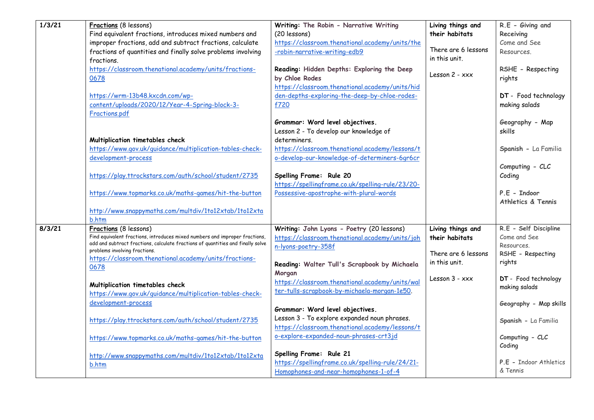| 1/3/21 | Fractions (8 lessons)                                                                                            | Writing: The Robin - Narrative Writing           | Living things and   | R.E - Giving and              |
|--------|------------------------------------------------------------------------------------------------------------------|--------------------------------------------------|---------------------|-------------------------------|
|        | Find equivalent fractions, introduces mixed numbers and                                                          | (20 lessons)                                     | their habitats      | Receiving                     |
|        | improper fractions, add and subtract fractions, calculate                                                        | https://classroom.thenational.academy/units/the  |                     | Come and See                  |
|        | fractions of quantities and finally solve problems involving                                                     | -robin-narrative-writing-edb9                    | There are 6 lessons | Resources.                    |
|        | fractions.                                                                                                       |                                                  | in this unit.       |                               |
|        | https://classroom.thenational.academy/units/fractions-                                                           | Reading: Hidden Depths: Exploring the Deep       |                     | RSHE - Respecting             |
|        | 0678                                                                                                             | by Chloe Rodes                                   | Lesson $2 - xxx$    | rights                        |
|        |                                                                                                                  | https://classroom.thenational.academy/units/hid  |                     |                               |
|        | https://wrm-13b48.kxcdn.com/wp-                                                                                  | den-depths-exploring-the-deep-by-chloe-rodes-    |                     | DT - Food technology          |
|        | content/uploads/2020/12/Year-4-Spring-block-3-                                                                   | f720                                             |                     | making salads                 |
|        | Fractions.pdf                                                                                                    |                                                  |                     |                               |
|        |                                                                                                                  | Grammar: Word level objectives.                  |                     | Geography - Map               |
|        |                                                                                                                  | Lesson 2 - To develop our knowledge of           |                     | skills                        |
|        | Multiplication timetables check                                                                                  | determiners.                                     |                     |                               |
|        | https://www.gov.uk/guidance/multiplication-tables-check-                                                         | https://classroom.thenational.academy/lessons/t  |                     | Spanish - La Familia          |
|        | development-process                                                                                              | o-develop-our-knowledge-of-determiners-6gr6cr    |                     |                               |
|        |                                                                                                                  |                                                  |                     | Computing - CLC               |
|        | https://play.ttrockstars.com/auth/school/student/2735                                                            | Spelling Frame: Rule 20                          |                     | Coding                        |
|        |                                                                                                                  | https://spellingframe.co.uk/spelling-rule/23/20- |                     |                               |
|        | https://www.topmarks.co.uk/maths-games/hit-the-button                                                            | Possessive-apostrophe-with-plural-words          |                     | $P.E - Indoor$                |
|        |                                                                                                                  |                                                  |                     | <b>Athletics &amp; Tennis</b> |
|        | http://www.snappymaths.com/multdiv/1to12xtab/1to12xta                                                            |                                                  |                     |                               |
|        | b.htm                                                                                                            |                                                  |                     |                               |
| 8/3/21 | Fractions (8 lessons)                                                                                            | Writing: John Lyons - Poetry (20 lessons)        | Living things and   | R.E - Self Discipline         |
|        | Find equivalent fractions, introduces mixed numbers and improper fractions,                                      | https://classroom.thenational.academy/units/joh  | their habitats      | Come and See                  |
|        | add and subtract fractions, calculate fractions of quantities and finally solve<br>problems involving fractions. | n-lyons-poetry-358f                              |                     | Resources.                    |
|        | https://classroom.thenational.academy/units/fractions-                                                           |                                                  | There are 6 lessons | RSHE - Respecting             |
|        | 0678                                                                                                             | Reading: Walter Tull's Scrapbook by Michaela     | in this unit.       | rights                        |
|        |                                                                                                                  | Morgan                                           | Lesson 3 - xxx      | DT - Food technology          |
|        | Multiplication timetables check                                                                                  | https://classroom.thenational.academy/units/wal  |                     | making salads                 |
|        | https://www.gov.uk/guidance/multiplication-tables-check-                                                         | ter-tulls-scrapbook-by-michaela-morgan-1e50.     |                     |                               |
|        | development-process                                                                                              |                                                  |                     | Geography - Map skills        |
|        |                                                                                                                  | Grammar: Word level objectives.                  |                     |                               |
|        | https://play.ttrockstars.com/auth/school/student/2735                                                            | Lesson 3 - To explore expanded noun phrases.     |                     | Spanish - La Familia          |
|        |                                                                                                                  | https://classroom.thenational.academy/lessons/t  |                     |                               |
|        | https://www.topmarks.co.uk/maths-games/hit-the-button                                                            | o-explore-expanded-noun-phrases-crt3.jd          |                     | Computing - CLC               |
|        |                                                                                                                  |                                                  |                     | Coding                        |
|        | http://www.snappymaths.com/multdiv/1to12xtab/1to12xta                                                            | Spelling Frame: Rule 21                          |                     |                               |
|        | b.htm                                                                                                            | https://spellingframe.co.uk/spelling-rule/24/21- |                     | P.E - Indoor Athletics        |
|        |                                                                                                                  | Homophones-and-near-homophones-1-of-4            |                     | & Tennis                      |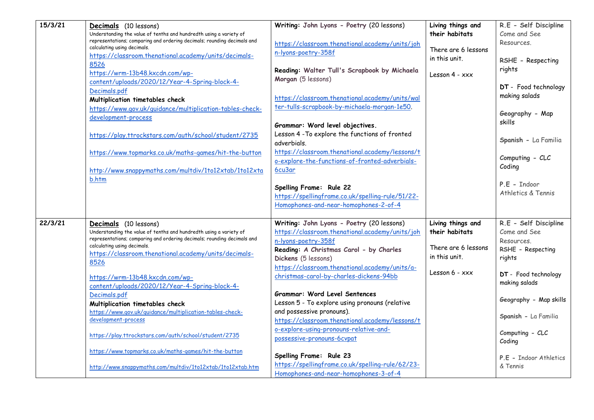| 15/3/21 | Decimals (10 lessons)<br>Understanding the value of tenths and hundredth using a variety of<br>representations; comparing and ordering decimals; rounding decimals and<br>calculating using decimals.<br>https://classroom.thenational.academy/units/decimals-<br>8526<br>https://wrm-13b48.kxcdn.com/wp-<br>content/uploads/2020/12/Year-4-Spring-block-4-<br>Decimals.pdf<br>Multiplication timetables check<br>https://www.gov.uk/guidance/multiplication-tables-check-<br>development-process<br>https://play.ttrockstars.com/auth/school/student/2735<br>https://www.topmarks.co.uk/maths-games/hit-the-button<br>http://www.snappymaths.com/multdiv/1to12xtab/1to12xta<br>b.htm | Writing: John Lyons - Poetry (20 lessons)<br>https://classroom.thenational.academy/units/joh<br>n-lyons-poetry-358f<br>Reading: Walter Tull's Scrapbook by Michaela<br>Morgan (5 lessons)<br>https://classroom.thenational.academy/units/wal<br>ter-tulls-scrapbook-by-michaela-morgan-1e50.<br>Grammar: Word level objectives.<br>Lesson 4 - To explore the functions of fronted<br>adverbials.<br>https://classroom.thenational.academy/lessons/t<br>o-explore-the-functions-of-fronted-adverbials-<br>6cu3ar<br>Spelling Frame: Rule 22                                                                   | Living things and<br>their habitats<br>There are 6 lessons<br>in this unit.<br>Lesson 4 - xxx   | R.E - Self Discipline<br>Come and See<br>Resources.<br>RSHE - Respecting<br>rights<br>DT - Food technology<br>making salads<br>Geography - Map<br>skills<br>Spanish - La Familia<br>Computing - CLC<br>Coding<br>$P E - Indoor$                  |
|---------|---------------------------------------------------------------------------------------------------------------------------------------------------------------------------------------------------------------------------------------------------------------------------------------------------------------------------------------------------------------------------------------------------------------------------------------------------------------------------------------------------------------------------------------------------------------------------------------------------------------------------------------------------------------------------------------|--------------------------------------------------------------------------------------------------------------------------------------------------------------------------------------------------------------------------------------------------------------------------------------------------------------------------------------------------------------------------------------------------------------------------------------------------------------------------------------------------------------------------------------------------------------------------------------------------------------|-------------------------------------------------------------------------------------------------|--------------------------------------------------------------------------------------------------------------------------------------------------------------------------------------------------------------------------------------------------|
|         |                                                                                                                                                                                                                                                                                                                                                                                                                                                                                                                                                                                                                                                                                       | https://spellingframe.co.uk/spelling-rule/51/22-<br>Homophones-and-near-homophones-2-of-4                                                                                                                                                                                                                                                                                                                                                                                                                                                                                                                    |                                                                                                 | Athletics & Tennis                                                                                                                                                                                                                               |
| 22/3/21 | Decimals (10 lessons)<br>Understanding the value of tenths and hundredth using a variety of<br>representations; comparing and ordering decimals; rounding decimals and<br>calculating using decimals.<br>https://classroom.thenational.academy/units/decimals-<br>8526<br>https://wrm-13b48.kxcdn.com/wp-<br>content/uploads/2020/12/Year-4-Spring-block-4-<br>Decimals.pdf<br>Multiplication timetables check<br>https://www.gov.uk/guidance/multiplication-tables-check-<br>development-process<br>https://play.ttrockstars.com/auth/school/student/2735<br>https://www.topmarks.co.uk/maths-games/hit-the-button<br>http://www.snappymaths.com/multdiv/1to12xtab/1to12xtab.htm     | Writing: John Lyons - Poetry (20 lessons)<br>https://classroom.thenational.academy/units/joh<br>n-lyons-poetry-358f<br>Reading: A Christmas Carol - by Charles<br>Dickens (5 lessons)<br>https://classroom.thenational.academy/units/a-<br>christmas-carol-by-charles-dickens-94bb<br>Grammar: Word Level Sentences<br>Lesson 5 - To explore using pronouns (relative<br>and possessive pronouns).<br>https://classroom.thenational.academy/lessons/t<br>o-explore-using-pronouns-relative-and-<br>possessive-pronouns-6cvpat<br>Spelling Frame: Rule 23<br>https://spellingframe.co.uk/spelling-rule/62/23- | Living things and<br>their habitats<br>There are 6 lessons<br>in this unit.<br>Lesson $6 - xxx$ | R.E - Self Discipline<br>Come and See<br>Resources.<br>RSHE - Respecting<br>rights<br>DT - Food technology<br>making salads<br>Geography - Map skills<br>Spanish - La Familia<br>Computing - CLC<br>Coding<br>P.E - Indoor Athletics<br>& Tennis |
|         |                                                                                                                                                                                                                                                                                                                                                                                                                                                                                                                                                                                                                                                                                       | Homophones-and-near-homophones-3-of-4                                                                                                                                                                                                                                                                                                                                                                                                                                                                                                                                                                        |                                                                                                 |                                                                                                                                                                                                                                                  |